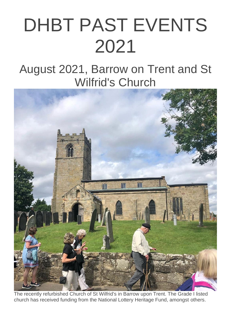## DHBT PAST EVENTS 2021

## August 2021, Barrow on Trent and St Wilfrid's Church



The recently refurbished Church of St Wilfrid's in Barrow upon Trent. The Grade I listed church has received funding from the National Lottery Heritage Fund, amongst others.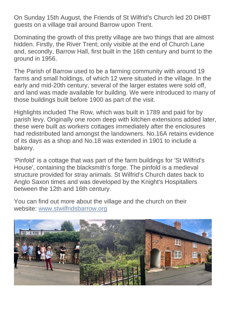On Sunday 15th August, the Friends of St Wilfrid's Church led 20 DHBT guests on a village trail around Barrow upon Trent.

Dominating the growth of this pretty village are two things that are almost hidden. Firstly, the River Trent; only visible at the end of Church Lane and, secondly, Barrow Hall, first built in the 16th century and burnt to the ground in 1956.

The Parish of Barrow used to be a farming community with around 19 farms and small holdings, of which 12 were situated in the village. In the early and mid-20th century, several of the larger estates were sold off, and land was made available for building. We were introduced to many of those buildings built before 1900 as part of the visit.

Highlights included The Row, which was built in 1789 and paid for by parish levy. Originally one room deep with kitchen extensions added later, these were built as workers cottages immediately after the enclosures had redistributed land amongst the landowners. No.16A retains evidence of its days as a shop and No.18 was extended in 1901 to include a bakery.

'Pinfold' is a cottage that was part of the farm buildings for 'St Wilfrid's House', containing the blacksmith's forge. The pinfold is a medieval structure provided for stray animals. St Wilfrid's Church dates back to Anglo Saxon times and was developed by the Knight's Hospitallers between the 12th and 16th century.

You can find out more about the village and the church on their website: [www.stwilfridsbarrow.org](http://www.stwilfridsbarrow.org/)

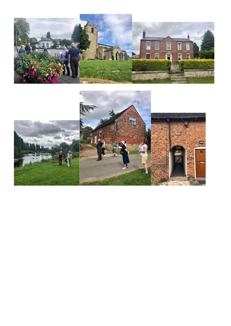

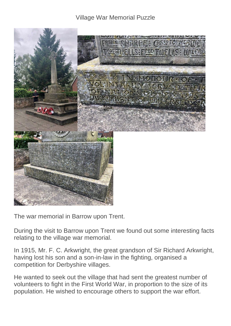## Village War Memorial Puzzle



The war memorial in Barrow upon Trent.

During the visit to Barrow upon Trent we found out some interesting facts relating to the village war memorial.

In 1915, Mr. F. C. Arkwright, the great grandson of Sir Richard Arkwright, having lost his son and a son-in-law in the fighting, organised a competition for Derbyshire villages.

He wanted to seek out the village that had sent the greatest number of volunteers to fight in the First World War, in proportion to the size of its population. He wished to encourage others to support the war effort.